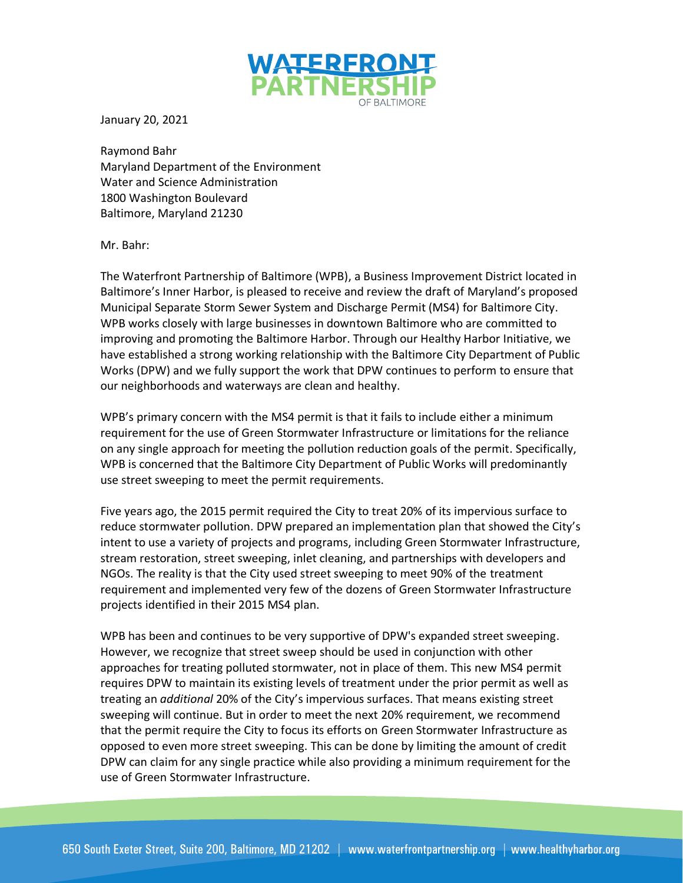

January 20, 2021

Raymond Bahr Maryland Department of the Environment Water and Science Administration 1800 Washington Boulevard Baltimore, Maryland 21230

Mr. Bahr:

The Waterfront Partnership of Baltimore (WPB), a Business Improvement District located in Baltimore's Inner Harbor, is pleased to receive and review the draft of Maryland's proposed Municipal Separate Storm Sewer System and Discharge Permit (MS4) for Baltimore City. WPB works closely with large businesses in downtown Baltimore who are committed to improving and promoting the Baltimore Harbor. Through our Healthy Harbor Initiative, we have established a strong working relationship with the Baltimore City Department of Public Works (DPW) and we fully support the work that DPW continues to perform to ensure that our neighborhoods and waterways are clean and healthy.

WPB's primary concern with the MS4 permit is that it fails to include either a minimum requirement for the use of Green Stormwater Infrastructure or limitations for the reliance on any single approach for meeting the pollution reduction goals of the permit. Specifically, WPB is concerned that the Baltimore City Department of Public Works will predominantly use street sweeping to meet the permit requirements.

Five years ago, the 2015 permit required the City to treat 20% of its impervious surface to reduce stormwater pollution. DPW prepared an implementation plan that showed the City's intent to use a variety of projects and programs, including Green Stormwater Infrastructure, stream restoration, street sweeping, inlet cleaning, and partnerships with developers and NGOs. The reality is that the City used street sweeping to meet 90% of the treatment requirement and implemented very few of the dozens of Green Stormwater Infrastructure projects identified in their 2015 MS4 plan.

WPB has been and continues to be very supportive of DPW's expanded street sweeping. However, we recognize that street sweep should be used in conjunction with other approaches for treating polluted stormwater, not in place of them. This new MS4 permit requires DPW to maintain its existing levels of treatment under the prior permit as well as treating an *additional* 20% of the City's impervious surfaces. That means existing street sweeping will continue. But in order to meet the next 20% requirement, we recommend that the permit require the City to focus its efforts on Green Stormwater Infrastructure as opposed to even more street sweeping. This can be done by limiting the amount of credit DPW can claim for any single practice while also providing a minimum requirement for the use of Green Stormwater Infrastructure.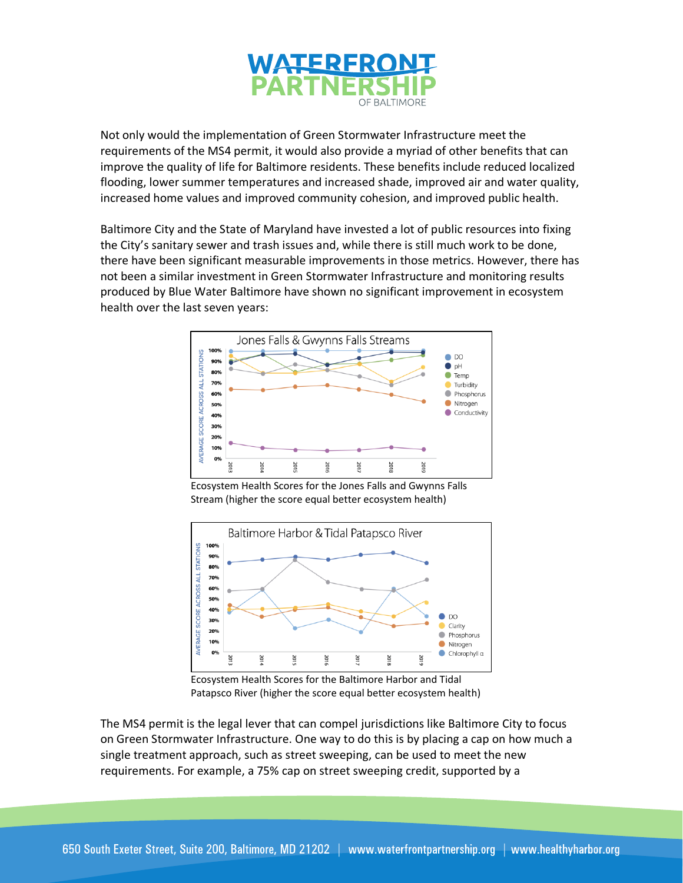

Not only would the implementation of Green Stormwater Infrastructure meet the requirements of the MS4 permit, it would also provide a myriad of other benefits that can improve the quality of life for Baltimore residents. These benefits include reduced localized flooding, lower summer temperatures and increased shade, improved air and water quality, increased home values and improved community cohesion, and improved public health.

Baltimore City and the State of Maryland have invested a lot of public resources into fixing the City's sanitary sewer and trash issues and, while there is still much work to be done, there have been significant measurable improvements in those metrics. However, there has not been a similar investment in Green Stormwater Infrastructure and monitoring results produced by Blue Water Baltimore have shown no significant improvement in ecosystem health over the last seven years:



Ecosystem Health Scores for the Jones Falls and Gwynns Falls Stream (higher the score equal better ecosystem health)



Ecosystem Health Scores for the Baltimore Harbor and Tidal Patapsco River (higher the score equal better ecosystem health)

The MS4 permit is the legal lever that can compel jurisdictions like Baltimore City to focus on Green Stormwater Infrastructure. One way to do this is by placing a cap on how much a single treatment approach, such as street sweeping, can be used to meet the new requirements. For example, a 75% cap on street sweeping credit, supported by a